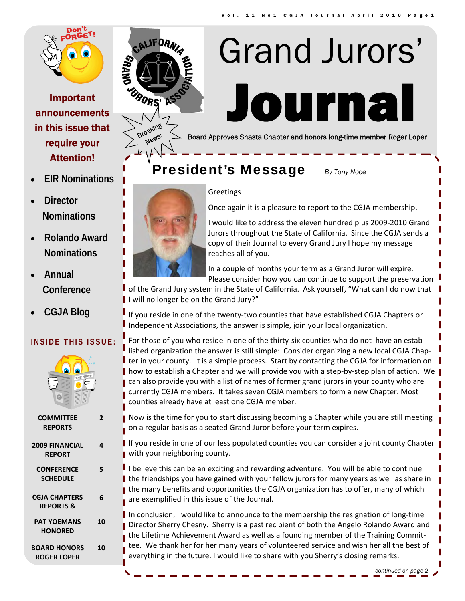

## Important announcements in this issue that require your Attention!

• **EIR Nominations** 

• **Director** 

 **Nominations** 

• **Rolando Award** 

**Nominations** 

 **Conference** 

• **CGJA Blog** 

• **Annual** 



Breaking:

**News:** 

# ourna Grand Jurors'

Board Approves Shasta Chapter and honors long-time member Roger Loper

## **President's Message** *By Tony Noce*



#### **Greetings**

Once again it is a pleasure to report to the CGJA membership.

I would like to address the eleven hundred plus 2009‐2010 Grand Jurors throughout the State of California. Since the CGJA sends a copy of their Journal to every Grand Jury I hope my message reaches all of you.

In a couple of months your term as a Grand Juror will expire. Please consider how you can continue to support the preservation

of the Grand Jury system in the State of California. Ask yourself, "What can I do now that I will no longer be on the Grand Jury?"

If you reside in one of the twenty‐two counties that have established CGJA Chapters or Independent Associations, the answer is simple, join your local organization.

For those of you who reside in one of the thirty-six counties who do not have an established organization the answer is still simple: Consider organizing a new local CGJA Chap‐ I ter in your county. It is a simple process. Start by contacting the CGJA for information on  $\blacksquare$ **| how to establish a Chapter and we will provide you with a step-by-step plan of action. We |** can also provide you with a list of names of former grand jurors in your county who are currently CGJA members. It takes seven CGJA members to form a new Chapter. Most counties already have at least one CGJA member.

**COMMITTEE REPORTS 2 2009 FINANCIAL REPORT 4 CONFERENCE SCHEDULE 5 CGJA CHAPTERS REPORTS & 6 PAT YOEMANS HONORED 10 BOARD HONORS ROGER LOPER 10**

**INSIDE THIS ISSUE:** 

- Now is the time for you to start discussing becoming a Chapter while you are still meeting on a regular basis as a seated Grand Juror before your term expires.
- I If you reside in one of our less populated counties you can consider a joint county Chapter | with your neighboring county.
- I believe this can be an exciting and rewarding adventure. You will be able to continue I the friendships you have gained with your fellow jurors for many years as well as share in the many benefits and opportunities the CGJA organization has to offer, many of which are exemplified in this issue of the Journal.

In conclusion, I would like to announce to the membership the resignation of long-time Director Sherry Chesny. Sherry is a past recipient of both the Angelo Rolando Award and the Lifetime Achievement Award as well as a founding member of the Training Committee. We thank her for her many years of volunteered service and wish her all the best of everything in the future. I would like to share with you Sherry's closing remarks.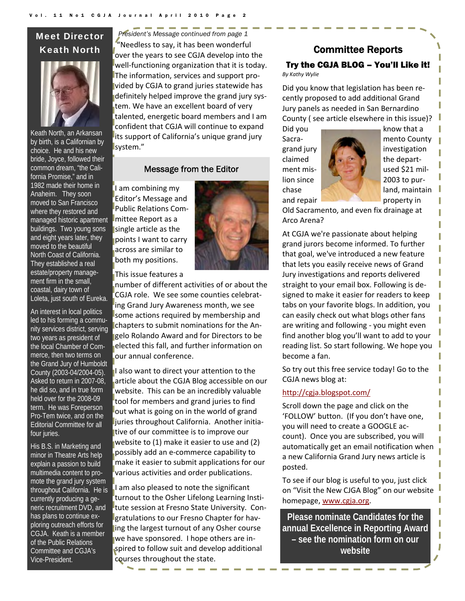## Meet Director Keath North



Keath North, an Arkansan by birth, is a Californian by choice. He and his new bride, Joyce, followed their common dream, "the California Promise," and in 1982 made their home in Anaheim. They soon moved to San Francisco where they restored and managed historic apartment buildings. Two young sons and eight years later, they moved to the beautiful North Coast of California. They established a real estate/property management firm in the small, coastal, dairy town of Loleta, just south of Eureka.

An interest in local politics led to his forming a community services district, serving two years as president of the local Chamber of Commerce, then two terms on the Grand Jury of Humboldt County (2003-04/2004-05). Asked to return in 2007-08, he did so, and in true form held over for the 2008-09 term. He was Foreperson Pro-Tem twice, and on the Editorial Committee for all four juries.

His B.S. in Marketing and minor in Theatre Arts help explain a passion to build multimedia content to promote the grand jury system throughout California. He is currently producing a generic recruitment DVD, and has plans to continue exploring outreach efforts for CGJA. Keath is a member of the Public Relations Committee and CGJA's Vice-President.

 $"$ Needless to say, it has been wonderful over the years to see CGJA develop into the well‐functioning organization that it is today. The information, services and support pro‐ vided by CGJA to grand juries statewide has definitely helped improve the grand jury system. We have an excellent board of very talented, energetic board members and I am confident that CGJA will continue to expand its support of California's unique grand jury system." *President's Message continued from page 1* 

#### Message from the Editor

I am combining my Editor's Message and Public Relations Com‐ mittee Report as a single article as the points I want to carry across are similar to both my positions.

This issue features a

number of different activities of or about the CGJA role. We see some counties celebrat‐ ing Grand Jury Awareness month, we see some actions required by membership and chapters to submit nominations for the An‐ gelo Rolando Award and for Directors to be elected this fall, and further information on our annual conference.

I also want to direct your attention to the article about the CGJA Blog accessible on our website. This can be an incredibly valuable tool for members and grand juries to find out what is going on in the world of grand juries throughout California. Another initia‐ tive of our committee is to improve our website to (1) make it easier to use and (2) possibly add an e‐commerce capability to make it easier to submit applications for our various activities and order publications.

I am also pleased to note the significant turnout to the Osher Lifelong Learning Insti‐ tute session at Fresno State University. Con‐ gratulations to our Fresno Chapter for hav‐ ing the largest turnout of any Osher course we have sponsored. I hope others are in‐ spired to follow suit and develop additional courses throughout the state.

## Committee Reports Try the CGJA BLOG – You'll Like it!

*By Kathy Wylie*

Did you know that legislation has been re‐ cently proposed to add additional Grand Jury panels as needed in San Bernardino County ( see article elsewhere in this issue)?



Did you

Old Sacramento, and even fix drainage at Arco Arena?

At CGJA we're passionate about helping grand jurors become informed. To further that goal, we've introduced a new feature that lets you easily receive news of Grand Jury investigations and reports delivered straight to your email box. Following is de‐ signed to make it easier for readers to keep tabs on your favorite blogs. In addition, you can easily check out what blogs other fans are writing and following ‐ you might even find another blog you'll want to add to your reading list. So start following. We hope you become a fan.

So try out this free service today! Go to the CGJA news blog at:

#### http://cgja.blogspot.com/

Scroll down the page and click on the 'FOLLOW' button. (If you don't have one, you will need to create a GOOGLE ac‐ count). Once you are subscribed, you will automatically get an email notification when a new California Grand Jury news article is posted.

To see if our blog is useful to you, just click on "Visit the New CJGA Blog" on our website homepage, www.cgja.org.

**Please nominate Candidates for the annual Excellence in Reporting Award – see the nomination form on our website**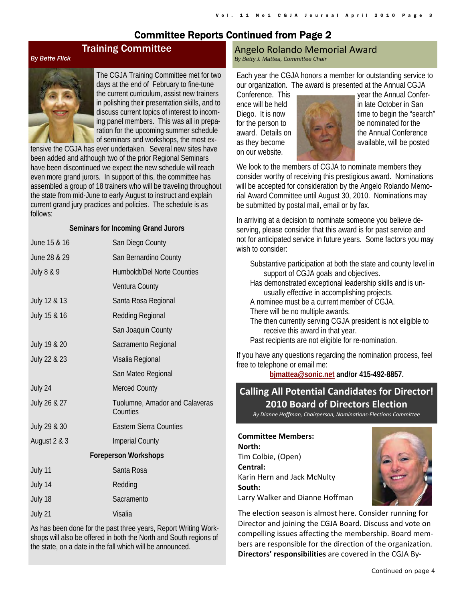## Committee Reports Continued from Page 2

#### *By Bette Flick*



The CGJA Training Committee met for two days at the end of February to fine-tune the current curriculum, assist new trainers in polishing their presentation skills, and to discuss current topics of interest to incoming panel members. This was all in preparation for the upcoming summer schedule of seminars and workshops, the most ex-

tensive the CGJA has ever undertaken. Several new sites have been added and although two of the prior Regional Seminars have been discontinued we expect the new schedule will reach even more grand jurors. In support of this, the committee has assembled a group of 18 trainers who will be traveling throughout the state from mid-June to early August to instruct and explain current grand jury practices and policies. The schedule is as follows:

Training Committee

#### **Seminars for Incoming Grand Jurors**

| June 15 & 16                | San Diego County                           |  |  |  |  |  |
|-----------------------------|--------------------------------------------|--|--|--|--|--|
| June 28 & 29                | San Bernardino County                      |  |  |  |  |  |
| <b>July 8 &amp; 9</b>       | <b>Humboldt/Del Norte Counties</b>         |  |  |  |  |  |
|                             | Ventura County                             |  |  |  |  |  |
| July 12 & 13                | Santa Rosa Regional                        |  |  |  |  |  |
| July 15 & 16                | Redding Regional                           |  |  |  |  |  |
|                             | San Joaquin County                         |  |  |  |  |  |
| July 19 & 20                | Sacramento Regional                        |  |  |  |  |  |
| July 22 & 23                | Visalia Regional                           |  |  |  |  |  |
|                             | San Mateo Regional                         |  |  |  |  |  |
| July 24                     | <b>Merced County</b>                       |  |  |  |  |  |
| July 26 & 27                | Tuolumne, Amador and Calaveras<br>Counties |  |  |  |  |  |
| July 29 & 30                | <b>Eastern Sierra Counties</b>             |  |  |  |  |  |
| August 2 & 3                | <b>Imperial County</b>                     |  |  |  |  |  |
| <b>Foreperson Workshops</b> |                                            |  |  |  |  |  |
| July 11                     | Santa Rosa                                 |  |  |  |  |  |
| July 14                     | Redding                                    |  |  |  |  |  |
| July 18                     | Sacramento                                 |  |  |  |  |  |
| July 21                     | Visalia                                    |  |  |  |  |  |
|                             |                                            |  |  |  |  |  |

As has been done for the past three years, Report Writing Workshops will also be offered in both the North and South regions of the state, on a date in the fall which will be announced.

#### Angelo Rolando Memorial Award *By Betty J. Mattea, Committee Chair*

Each year the CGJA honors a member for outstanding service to our organization. The award is presented at the Annual CGJA

on our website.



Conference. This year the Annual Conference will be held in late October in San Diego. It is now the search interval time to begin the "search" for the person to be nominated for the award. Details on **the Annual Conference** as they become and the state available, will be posted

We look to the members of CGJA to nominate members they consider worthy of receiving this prestigious award. Nominations will be accepted for consideration by the Angelo Rolando Memorial Award Committee until August 30, 2010. Nominations may be submitted by postal mail, email or by fax.

In arriving at a decision to nominate someone you believe deserving, please consider that this award is for past service and not for anticipated service in future years. Some factors you may wish to consider:

| Substantive participation at both the state and county level in<br>support of CGJA goals and objectives. |
|----------------------------------------------------------------------------------------------------------|
| Has demonstrated exceptional leadership skills and is un-                                                |
| usually effective in accomplishing projects.                                                             |
| A nominee must be a current member of CGJA.                                                              |
| There will be no multiple awards.                                                                        |
| The then currently serving CGJA president is not eligible to<br>receive this award in that year.         |
| Past recipients are not eligible for re-nomination.                                                      |
| If you have any questions regarding the nomination process, feel<br>free to telephone or email me:       |

**bjmattea@sonic.net and/or 415-492-8857.**

## **Calling All Potential Candidates for Director! 2010 Board of Directors Election**

*By Dianne Hoffman, Chairperson, Nominations‐Elections Committee*

**Committee Members: North:** Tim Colbie, (Open) **Central:** Karin Hern and Jack McNulty **South:** Larry Walker and Dianne Hoffman



The election season is almost here. Consider running for Director and joining the CGJA Board. Discuss and vote on compelling issues affecting the membership. Board mem‐ bers are responsible for the direction of the organization. **Directors' responsibilities** are covered in the CGJA By‐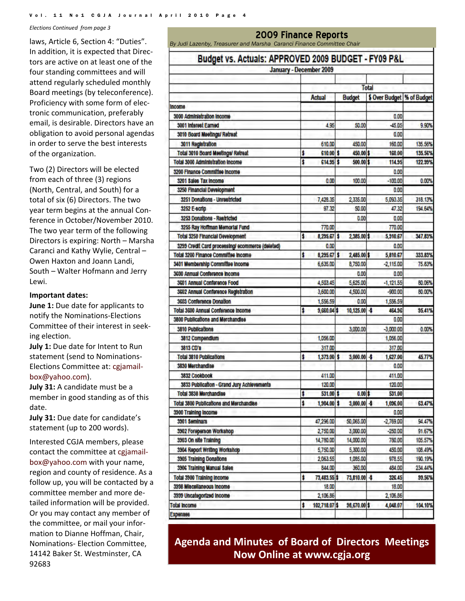*Elections Continued from page 3*

laws, Article 6, Section 4: "Duties". In addition, it is expected that Direc‐ tors are active on at least one of the four standing committees and will attend regularly scheduled monthly Board meetings (by teleconference). Proficiency with some form of elec‐ tronic communication, preferably email, is desirable. Directors have an obligation to avoid personal agendas in order to serve the best interests of the organization.

Two (2) Directors will be elected from each of three (3) regions (North, Central, and South) for a total of six (6) Directors. The two year term begins at the annual Con‐ ference in October/November 2010. The two year term of the following Directors is expiring: North – Marsha Caranci and Kathy Wylie, Central – Owen Haxton and Joann Landi, South – Walter Hofmann and Jerry Lewi.

#### **Important dates:**

**June 1:** Due date for applicants to notify the Nominations‐Elections Committee of their interest in seek‐ ing election.

**July 1:** Due date for Intent to Run statement (send to Nominations‐ Elections Committee at: cgjamail‐ box@yahoo.com).

**July 31:** A candidate must be a member in good standing as of this date.

**July 31:** Due date for candidate's statement (up to 200 words).

Interested CGJA members, please contact the committee at cgjamail‐ box@yahoo.com with your name, region and county of residence. As a follow up, you will be contacted by a committee member and more de‐ tailed information will be provided. Or you may contact any member of the committee, or mail your infor‐ mation to Dianne Hoffman, Chair, Nominations‐ Election Committee, 14142 Baker St. Westminster, CA 92683

## **2009 Finance Reports** *By Judi Lazenby, Treasurer and Marsha Caranci Finance Committee Chair*  Budget vs. Actuals: APPROVED 2009 BUDGET - FY09 P&L January - December 2009 **Total** \$ Over Budget % of Budget **Actual Budget** Income

| 3000 Administration income                       |    |               |                 | 0.00        |         |
|--------------------------------------------------|----|---------------|-----------------|-------------|---------|
| 3001 Interest Earned                             |    | 4.95          | 50.00           | 45.05       | 9.90%   |
| 3010 Board Meetings/ Retreat                     |    |               |                 | 0.00        |         |
| 3011 Registration                                |    | 610.00        | 450.00          | 160.00      | 135.56% |
| Total 3010 Board Meetings/ Retreat               | \$ | 610.00 \$     | 450.00 \$       | 160.00      | 135.56% |
| <b>Total 3000 Administration income</b>          | ŧ  | $614.95$ \$   | $500.00$ \$     | 114.95      | 122.99% |
| 3200 Finance Committee Income                    |    |               |                 | 0.00        |         |
| 3201 Sales Tax Income                            |    | 0.00          | 100.00          | $-100.00$   | 0.00%   |
| 3250 Financial Development                       |    |               |                 | 0.00        |         |
| 3251 Donations - Unrestricted                    |    | 7,428.35      | 2,335.00        | 5,093.35    | 318.13% |
| 3252 E-scrip                                     |    | 97.32         | 50.00           | 47.32       | 194.64% |
| 3253 Donations - Restricted                      |    |               | 0.00            | 0.00        |         |
| 3255 Ray Hoffman Memorial Fund                   |    | 770.00        |                 | 770.00      |         |
| <b>Total 3250 Financial Development</b>          | \$ | $8,295.67$ \$ | 2,385.00 \$     | 5,910.67    | 347.83% |
| 3299 Credit Card processing/ ecommerce (deleted) |    | 0.00          |                 | 0.00        |         |
| <b>Total 3200 Finance Committee Income</b>       | \$ | 8,295.67 \$   | 2,485.00 \$     | 5,810.67    | 333.83% |
| 3401 Membership Committee Income                 |    | 6,635.00      | 8,750.00        | $-2,115.00$ | 75.83%  |
| 3600 Annual Conference Income                    |    |               | 0.00            | 0.00        |         |
| 3601 Annual Conference Food                      |    | 4,503.45      | 5,625.00        | $-1,121.55$ | 80.06%  |
| 3602 Annual Conference Registration              |    | 3,600.00      | 4,500.00        | $-900.00$   | 80.00%  |
| 3603 Conference Donation                         |    | 1,556.59      | 0.00            | 1,556.59    |         |
| <b>Total 3600 Annual Conference Income</b>       | \$ | 9,660.04 \$   | $10,125.00 - $$ | 464.96      | 95.41%  |
| <b>3800 Publications and Merchandise</b>         |    |               |                 | 0.00        |         |
| 3810 Publications                                |    |               | 3,000.00        | $-3,000.00$ | 0.00%   |
| 3812 Compendium                                  |    | 1,056.00      |                 | 1,056.00    |         |
| 3813 CD'8                                        |    | 317.00        |                 | 317.00      |         |
| <b>Total 3810 Publications</b>                   | ŝ  | 1,373.00 \$   | $3,000.00 - $$  | 1,627.00    | 45.77%  |
| 3830 Merchandise                                 |    |               |                 | 0.00        |         |
| 3832 Cookbook                                    |    | 411.00        |                 | 411.00      |         |
| 3833 Publication - Grand Jury Achlevements       |    | 120.00        |                 | 120.00      |         |
| <b>Total 3830 Merchandise</b>                    | ŧ  | 531.00 \$     | $0.00$ \$       | 531.00      |         |
| <b>Total 3800 Publications and Merchandise</b>   | \$ | 1,904.00 \$   | $3,000.00 - $$  | 1,096.00    | 63.47%  |
| 3900 Training Income                             |    |               |                 | 0.00        |         |
| 3901 Seminars                                    |    | 47,296.00     | 50,065.00       | $-2.769.00$ | 94.47%  |
| 3902 Foreperson Workshop                         |    | 2,750.00      | 3,000.00        | $-250.00$   | 91.67%  |
| 3903 On site Training                            |    | 14,780.00     | 14,000.00       | 780.00      | 105.57% |
| 3904 Report Writing Workshop                     |    | 5,750.00      | 5,300.00        | 450.00      | 108.49% |
| 3905 Training Donations                          |    | 2,063.55      | 1,085.00        | 978.55      | 190.19% |
| 3906 Training Manual Sales                       |    | 844.00        | 360.00          | 484.00      | 234.44% |
| <b>Total 3900 Training Income</b>                | \$ | 73,483.55 \$  | 73,810.00 \$    | 326.45      | 99.56%  |
| 3998 Miscellaneous Income                        |    | 18.00         |                 | 18.00       |         |
| 3999 Uncategorized Income                        |    | 2,106.86      |                 | 2,106.86    |         |
| Total Income                                     | \$ | 102,718.07 \$ | 98,670.00 \$    | 4,048.07    | 104.10% |
| Expenses                                         |    |               |                 |             |         |

**Agenda and Minutes of Board of Directors Meetings Now Online at www.cgja.org**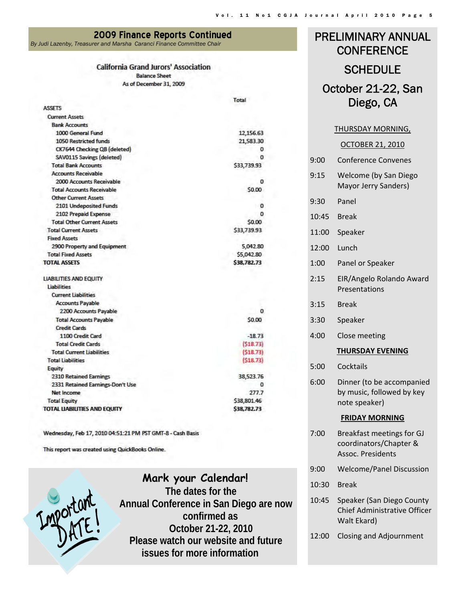**2009 Finance Reports Continued** *By Judi Lazenby, Treasurer and Marsha Caranci Finance Committee Chair* 

#### **California Grand Jurors' Association**

**Balance Sheet** As of December 31, 2009

|                                     | Total       |
|-------------------------------------|-------------|
| <b>ASSETS</b>                       |             |
| <b>Current Assets</b>               |             |
| <b>Bank Accounts</b>                |             |
| 1000 General Fund                   | 12,156.63   |
| <b>1050 Restricted funds</b>        | 21,583.30   |
| CK7644 Checking QB (deleted)        | 0           |
| SAV0115 Savings (deleted)           | o           |
| <b>Total Bank Accounts</b>          | \$33,739.93 |
| <b>Accounts Receivable</b>          |             |
| 2000 Accounts Receivable            | 0           |
| <b>Total Accounts Receivable</b>    | \$0.00      |
| <b>Other Current Assets</b>         |             |
| 2101 Undeposited Funds              | 0           |
| 2102 Prepaid Expense                | o           |
| <b>Total Other Current Assets</b>   | \$0.00      |
| <b>Total Current Assets</b>         | \$33,739.93 |
| <b>Fixed Assets</b>                 |             |
| 2900 Property and Equipment         | 5,042.80    |
| <b>Total Fixed Assets</b>           | \$5,042.80  |
| <b>TOTAL ASSETS</b>                 | \$38,782.73 |
| <b>LIABILITIES AND EQUITY</b>       |             |
| <b>Liabilities</b>                  |             |
| <b>Current Liabilities</b>          |             |
| <b>Accounts Payable</b>             |             |
| 2200 Accounts Payable               | o           |
| <b>Total Accounts Payable</b>       | \$0.00      |
| <b>Credit Cards</b>                 |             |
| 1100 Credit Card                    | $-18.73$    |
| <b>Total Credit Cards</b>           | (518.73)    |
| <b>Total Current Liabilities</b>    | (518.73)    |
| <b>Total Liabilities</b>            | (518.73)    |
| Equity                              |             |
| <b>2310 Retained Earnings</b>       | 38,523.76   |
| 2331 Retained Earnings-Don't Use    |             |
| <b>Net Income</b>                   | 277.7       |
| <b>Total Equity</b>                 | \$38,801.46 |
| <b>TOTAL LIABILITIES AND EQUITY</b> | \$38,782.73 |
|                                     |             |

Wednesday, Feb 17, 2010 04:51:21 PM PST GMT-8 - Cash Basis

This report was created using QuickBooks Online.



**Mark your Calendar! The dates for the Annual Conference in San Diego are now confirmed as October 21-22, 2010 Please watch our website and future issues for more information** 

## PRELIMINARY ANNUAL **CONFERENCE**

## **SCHEDULE**

October 21-22, San Diego, CA

#### THURSDAY MORNING,

|                         | <b>OCTOBER 21, 2010</b>                                                         |  |  |  |  |
|-------------------------|---------------------------------------------------------------------------------|--|--|--|--|
| 9:00                    | <b>Conference Convenes</b>                                                      |  |  |  |  |
| 9:15                    | Welcome (by San Diego<br>Mayor Jerry Sanders)                                   |  |  |  |  |
| 9:30                    | Panel                                                                           |  |  |  |  |
| 10:45                   | <b>Break</b>                                                                    |  |  |  |  |
| 11:00                   | Speaker                                                                         |  |  |  |  |
| 12:00                   | Lunch                                                                           |  |  |  |  |
| 1:00                    | Panel or Speaker                                                                |  |  |  |  |
| 2:15                    | EIR/Angelo Rolando Award<br>Presentations                                       |  |  |  |  |
| 3:15                    | <b>Break</b>                                                                    |  |  |  |  |
| 3:30                    | Speaker                                                                         |  |  |  |  |
| 4:00                    | Close meeting                                                                   |  |  |  |  |
| <b>THURSDAY EVENING</b> |                                                                                 |  |  |  |  |
| 5:00                    | Cocktails                                                                       |  |  |  |  |
| 6:00                    | Dinner (to be accompanied<br>by music, followed by key<br>note speaker)         |  |  |  |  |
|                         | <b>FRIDAY MORNING</b>                                                           |  |  |  |  |
| 7:00                    | Breakfast meetings for GJ<br>coordinators/Chapter &<br>Assoc. Presidents        |  |  |  |  |
| 9:00                    | <b>Welcome/Panel Discussion</b>                                                 |  |  |  |  |
| 10:30                   | <b>Break</b>                                                                    |  |  |  |  |
| 10:45                   | Speaker (San Diego County<br><b>Chief Administrative Officer</b><br>Walt Ekard) |  |  |  |  |

12:00 Closing and Adjournment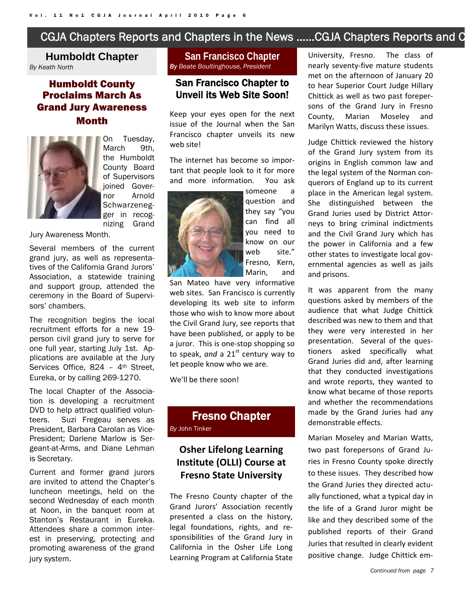## CGJA Chapters Reports and Chapters in the News …...CGJA Chapters Reports and C

#### **Humboldt Chapter**  *By Keath North*

## Humboldt County Proclaims March As Grand Jury Awareness Month



On Tuesday, March 9th. the Humboldt County Board of Supervisors ioined Governor Arnold Schwarzenegger in recognizing Grand

Jury Awareness Month.

Several members of the current grand jury, as well as representatives of the California Grand Jurors' Association, a statewide training and support group, attended the ceremony in the Board of Supervisors' chambers.

The recognition begins the local recruitment efforts for a new 19 person civil grand jury to serve for one full year, starting July 1st. Applications are available at the Jury Services Office, 824 - 4<sup>th</sup> Street, Eureka, or by calling 269-1270.

The local Chapter of the Association is developing a recruitment DVD to help attract qualified volunteers. Suzi Fregeau serves as President, Barbara Carolan as Vice-President; Darlene Marlow is Sergeant-at-Arms, and Diane Lehman is Secretary.

Current and former grand jurors are invited to attend the Chapter's luncheon meetings, held on the second Wednesday of each month at Noon, in the banquet room at Stanton's Restaurant in Eureka. Attendees share a common interest in preserving, protecting and promoting awareness of the grand jury system.

#### **San Francisco Chapter**  *By Beate Boultinghouse, President*

#### San Francisco Chapter to Unveil its Web Site Soon!

Keep your eyes open for the next issue of the Journal when the San Francisco chapter unveils its new web site!

The internet has become so impor‐ tant that people look to it for more and more information. You ask



someone a question and they say "you can find all you need to know on our web site." Fresno, Kern, Marin, and

San Mateo have very informative web sites. San Francisco is currently developing its web site to inform those who wish to know more about the Civil Grand Jury, see reports that have been published, or apply to be a juror. This is one‐stop shopping so to speak, and a 21<sup>st</sup> century way to let people know who we are.

We'll be there soon!

## Fresno Chapter *By* John Tinker

## **Osher Lifelong Learning Institute (OLLI) Course at Fresno State University**

The Fresno County chapter of the Grand Jurors' Association recently presented a class on the history, legal foundations, rights, and re‐ sponsibilities of the Grand Jury in California in the Osher Life Long Learning Program at California State University, Fresno. The class of nearly seventy‐five mature students met on the afternoon of January 20 to hear Superior Court Judge Hillary Chittick as well as two past foreper‐ sons of the Grand Jury in Fresno County, Marian Moseley and Marilyn Watts, discuss these issues.

Judge Chittick reviewed the history of the Grand Jury system from its origins in English common law and the legal system of the Norman con‐ querors of England up to its current place in the American legal system. She distinguished between the Grand Juries used by District Attor‐ neys to bring criminal indictments and the Civil Grand Jury which has the power in California and a few other states to investigate local gov‐ ernmental agencies as well as jails and prisons.

It was apparent from the many questions asked by members of the audience that what Judge Chittick described was new to them and that they were very interested in her presentation. Several of the questioners asked specifically what Grand Juries did and, after learning that they conducted investigations and wrote reports, they wanted to know what became of those reports and whether the recommendations made by the Grand Juries had any demonstrable effects.

Marian Moseley and Marian Watts, two past forepersons of Grand Ju‐ ries in Fresno County spoke directly to these issues. They described how the Grand Juries they directed actu‐ ally functioned, what a typical day in the life of a Grand Juror might be like and they described some of the published reports of their Grand Juries that resulted in clearly evident positive change. Judge Chittick em‐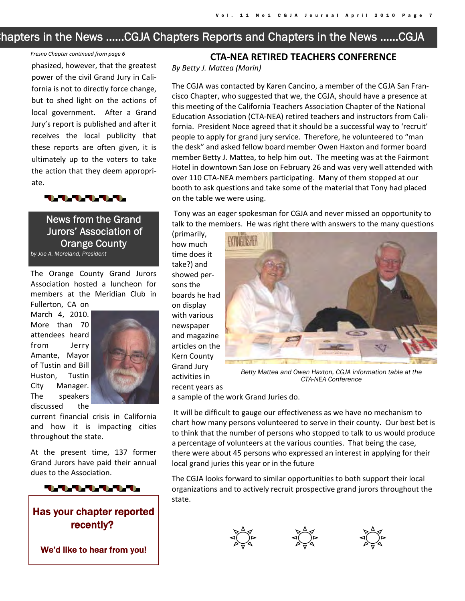## Chapters in the News …...CGJA Chapters Reports and Chapters in the News …...CGJA

#### *Fresno Chapter continued from page 6*

phasized, however, that the greatest power of the civil Grand Jury in Cali‐ fornia is not to directly force change, but to shed light on the actions of local government. After a Grand Jury's report is published and after it receives the local publicity that these reports are often given, it is ultimately up to the voters to take the action that they deem appropri‐ ate.



News from the Grand Jurors' Association of Orange County *by Joe A. Moreland, President* 

The Orange County Grand Jurors Association hosted a luncheon for members at the Meridian Club in Fullerton, CA on

March 4, 2010. More than 70 attendees heard from Jerry Amante, Mayor of Tustin and Bill Huston, Tustin City Manager. The speakers discussed the



current financial crisis in California and how it is impacting cities throughout the state.

At the present time, 137 former Grand Jurors have paid their annual dues to the Association.



## Has your chapter reported recently?

We'd like to hear from you!

#### **CTA‐NEA RETIRED TEACHERS CONFERENCE**

*By Betty J. Mattea (Marin)*

The CGJA was contacted by Karen Cancino, a member of the CGJA San Fran‐ cisco Chapter, who suggested that we, the CGJA, should have a presence at this meeting of the California Teachers Association Chapter of the National Education Association (CTA‐NEA) retired teachers and instructors from Cali‐ fornia. President Noce agreed that it should be a successful way to 'recruit' people to apply for grand jury service. Therefore, he volunteered to "man the desk" and asked fellow board member Owen Haxton and former board member Betty J. Mattea, to help him out. The meeting was at the Fairmont Hotel in downtown San Jose on February 26 and was very well attended with over 110 CTA‐NEA members participating. Many of them stopped at our booth to ask questions and take some of the material that Tony had placed on the table we were using.

Tony was an eager spokesman for CGJA and never missed an opportunity to talk to the members. He was right there with answers to the many questions

(primarily, how much time does it take?) and showed per‐ sons the boards he had on display with various newspaper and magazine articles on the Kern County Grand Jury activities in recent years as



*Betty Mattea and Owen Haxton, CGJA information table at the CTA-NEA Conference* 

a sample of the work Grand Juries do.

It will be difficult to gauge our effectiveness as we have no mechanism to chart how many persons volunteered to serve in their county. Our best bet is to think that the number of persons who stopped to talk to us would produce a percentage of volunteers at the various counties. That being the case, there were about 45 persons who expressed an interest in applying for their local grand juries this year or in the future

The CGJA looks forward to similar opportunities to both support their local organizations and to actively recruit prospective grand jurors throughout the state.





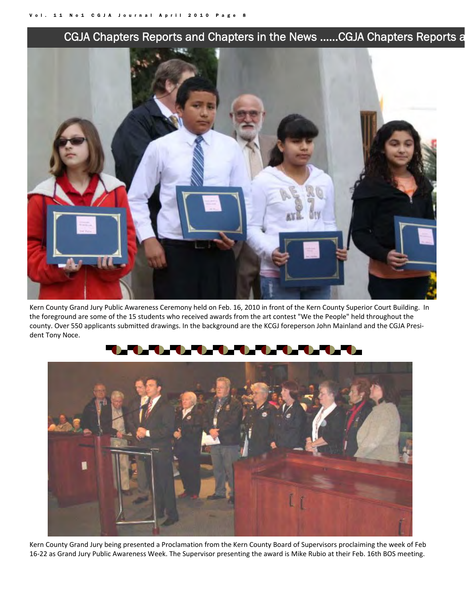## CGJA Chapters Reports and Chapters in the News …...CGJA Chapters Reports a



Kern County Grand Jury Public Awareness Ceremony held on Feb. 16, 2010 in front of the Kern County Superior Court Building. In the foreground are some of the 15 students who received awards from the art contest "We the People" held throughout the county. Over 550 applicants submitted drawings. In the background are the KCGJ foreperson John Mainland and the CGJA Presi‐ dent Tony Noce.



Kern County Grand Jury being presented a Proclamation from the Kern County Board of Supervisors proclaiming the week of Feb 16-22 as Grand Jury Public Awareness Week. The Supervisor presenting the award is Mike Rubio at their Feb. 16th BOS meeting.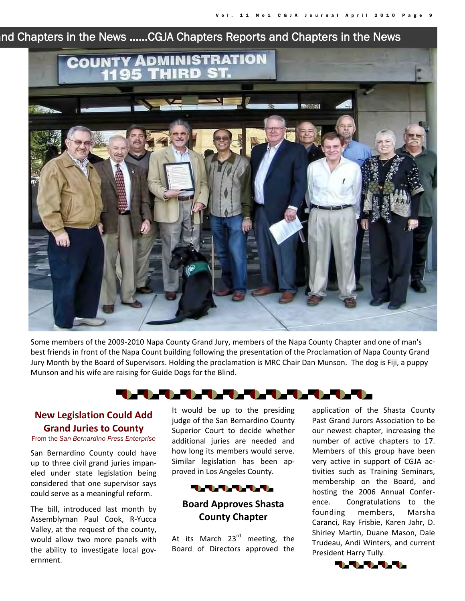## and Chapters in the News …...CGJA Chapters Reports and Chapters in the News



Some members of the 2009‐2010 Napa County Grand Jury, members of the Napa County Chapter and one of man's best friends in front of the Napa Count building following the presentation of the Proclamation of Napa County Grand Jury Month by the Board of Supervisors. Holding the proclamation is MRC Chair Dan Munson. The dog is Fiji, a puppy Munson and his wife are raising for Guide Dogs for the Blind.

## **THE REAL PROPERTY**

#### **New Legislation Could Add Grand Juries to County**

#### From the *San Bernardino Press Enterprise*

San Bernardino County could have up to three civil grand juries impan‐ eled under state legislation being considered that one supervisor says could serve as a meaningful reform.

The bill, introduced last month by Assemblyman Paul Cook, R‐Yucca Valley, at the request of the county, would allow two more panels with the ability to investigate local government.

It would be up to the presiding judge of the San Bernardino County Superior Court to decide whether additional juries are needed and how long its members would serve. Similar legislation has been ap‐ proved in Los Angeles County.



## **Board Approves Shasta County Chapter**

At its March 23<sup>rd</sup> meeting, the Board of Directors approved the application of the Shasta County Past Grand Jurors Association to be our newest chapter, increasing the number of active chapters to 17. Members of this group have been very active in support of CGJA ac‐ tivities such as Training Seminars, membership on the Board, and hosting the 2006 Annual Confer‐ ence. Congratulations to the founding members, Marsha Caranci, Ray Frisbie, Karen Jahr, D. Shirley Martin, Duane Mason, Dale Trudeau, Andi Winters, and current President Harry Tully.

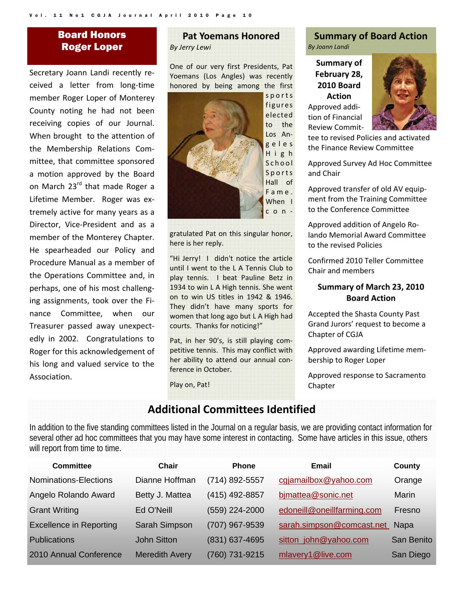## Board Honors Roger Loper

Secretary Joann Landi recently re‐ ceived a letter from long‐time member Roger Loper of Monterey County noting he had not been receiving copies of our Journal. When brought to the attention of the Membership Relations Com‐ mittee, that committee sponsored a motion approved by the Board on March 23<sup>rd</sup> that made Roger a Lifetime Member. Roger was extremely active for many years as a Director, Vice‐President and as a member of the Monterey Chapter. He spearheaded our Policy and Procedure Manual as a member of the Operations Committee and, in perhaps, one of his most challeng‐ ing assignments, took over the Fi‐ nance Committee, when our Treasurer passed away unexpect‐ edly in 2002. Congratulations to Roger for this acknowledgement of his long and valued service to the Association.

#### **Pat Yoemans Honored** *By Jerry Lewi*

One of our very first Presidents, Pat Yoemans (Los Angles) was recently honored by being among the first



gratulated Pat on this singular honor, here is her reply.

"Hi Jerry! I didn't notice the article until I went to the L A Tennis Club to play tennis. I beat Pauline Betz in 1934 to win L A High tennis. She went on to win US titles in 1942 & 1946. They didn't have many sports for women that long ago but L A High had courts. Thanks for noticing!"

Pat, in her 90's, is still playing com‐ petitive tennis. This may conflict with her ability to attend our annual con‐ ference in October.

Play on, Pat!

#### **Summary of Board Action** *By Joann Landi*

**Summary of February 28, 2010 Board Action** Approved addi‐ tion of Financial Review Commit‐



tee to revised Policies and activated the Finance Review Committee

Approved Survey Ad Hoc Committee and Chair

Approved transfer of old AV equip‐ ment from the Training Committee to the Conference Committee

Approved addition of Angelo Ro‐ lando Memorial Award Committee to the revised Policies

Confirmed 2010 Teller Committee Chair and members

#### **Summary of March 23, 2010 Board Action**

Accepted the Shasta County Past Grand Jurors' request to become a Chapter of CGJA

Approved awarding Lifetime mem‐ bership to Roger Loper

Approved response to Sacramento Chapter

## **Additional Committees Identified**

In addition to the five standing committees listed in the Journal on a regular basis, we are providing contact information for several other ad hoc committees that you may have some interest in contacting. Some have articles in this issue, others will report from time to time.

| Committee                      | Chair                 | <b>Phone</b>     | Email                      | County       |
|--------------------------------|-----------------------|------------------|----------------------------|--------------|
| Nominations-Elections          | Dianne Hoffman        | (714) 892-5557   | cgjamailbox@yahoo.com      | Orange       |
| Angelo Rolando Award           | Betty J. Mattea       | (415) 492-8857   | bimattea@sonic.net         | <b>Marin</b> |
| <b>Grant Writing</b>           | Ed O'Neill            | (559) 224-2000   | edoneill@oneillfarming.com | Fresno       |
| <b>Excellence in Reporting</b> | Sarah Simpson         | (707) 967-9539   | sarah.simpson@comcast.net  | <b>Napa</b>  |
| <b>Publications</b>            | <b>John Sitton</b>    | $(831)$ 637-4695 | sitton_john@yahoo.com      | San Benito   |
| 2010 Annual Conference         | <b>Meredith Avery</b> | (760) 731-9215   | mlavery1@live.com          | San Diego    |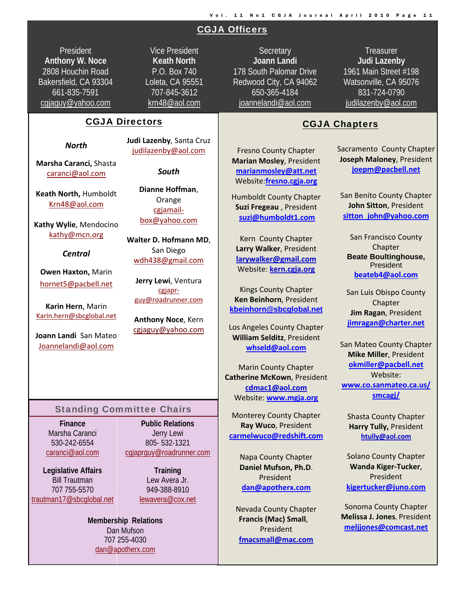## CGJA Officers

President **Anthony W. Noce**  2808 Houchin Road Bakersfield, CA 93304 661-835-7591 cgjaguy@yahoo.com

Vice President **Keath North**  P.O. Box 740 Loleta, CA 95551 707-845-3612 krn48@aol.com

#### CGJA Directors

*North*

**Marsha Caranci,** Shasta caranci@aol.com

**Keath North,** Humboldt Krn48@aol.com

**Kathy Wylie**, Mendocino kathy@mcn.org

#### *Central*

**Owen Haxton,** Marin hornet5@pacbell.net

**Karin Hern**, Marin Karin.hern@sbcglobal.net

**Joann Landi** San Mateo Joannelandi@aol.com

**Judi Lazenby**, Santa Cruz judilazenby@aol.com

*South*

**Dianne Hoffman**, Orange cgjamail‐ box@yahoo.com

**Walter D. Hofmann MD**, San Diego wdh438@gmail.com

**Jerry Lewi**, Ventura cgjapr‐ guy@roadrunner.com

**Anthony Noce**, Kern cgjaguy@yahoo.com

#### Standing Committee Chairs

**Finance**  Marsha Caranci 530-242-6554 caranci@aol.com

**Legislative Affairs**  Bill Trautman 707 755-5570 trautman17@sbcglobal.net

**Public Relations**  Jerry Lewi 805- 532-1321 cgjaprguy@roadrunner.com

> **Training**  Lew Avera Jr. 949-388-8910 lewavera@cox.net

**Membership Relations Membership Relations**  dan and an <mark>da</mark> Dan Mufson 707 255-4030 dan@apotherx.com

**Secretary Joann Landi** 178 South Palomar Drive Redwood City, CA 94062 650-365-4184 joannelandi@aol.com

**Treasurer Judi Lazenby**  1961 Main Street #198 Watsonville, CA 95076 831-724-0790 judilazenby@aol.com

i

#### CGJA Chapters

Fresno County Chapter **Marian Mosley**, President **marianmosley@att.net** Website:**fresno.cgja.org**

Humboldt County Chapter **Suzi Fregeau** , President **suzi@humboldt1.com**

Kern County Chapter **Larry Walker**, President **larywalker@gmail.com** Website: **kern.cgja.org**

Kings County Chapter **Ken Beinhorn**, President **kbeinhorn@sbcglobal.net**

Los Angeles County Chapter **William Selditz**, President **whseld@aol.com**

Marin County Chapter **Catherine McKown**, President **cdmac1@aol.com** Website: **www.mgja.org**

Monterey County Chapter **Ray Wuco**, President **carmelwuco@redshift.com**

> Napa County Chapter **Daniel Mufson, Ph.D**. President **dan@apotherx.com**

Nevada County Chapter **Francis (Mac) Small**, President **fmacsmall@mac.com**

Sacramento County Chapter **Joseph Maloney**, President **joepm@pacbell.net**

San Benito County Chapter **John Sitton**, President **sitton\_john@yahoo.com**

San Francisco County Chapter **Beate Boultinghouse, President beateb4@aol.com**

San Luis Obispo County **Chapter Jim Ragan**, President **jimragan@charter.net**

San Mateo County Chapter **Mike Miller**, President **okmiller@pacbell.net** Website: **www.co.sanmateo.ca.us/ smcagj/**

Shasta County Chapter **Harry Tully,** President **htully@aol.com**

Solano County Chapter **Wanda Kiger‐Tucker**, President **kigertucker@juno.com**

Sonoma County Chapter **Melissa J. Jones**, President **meljjones@comcast.net**